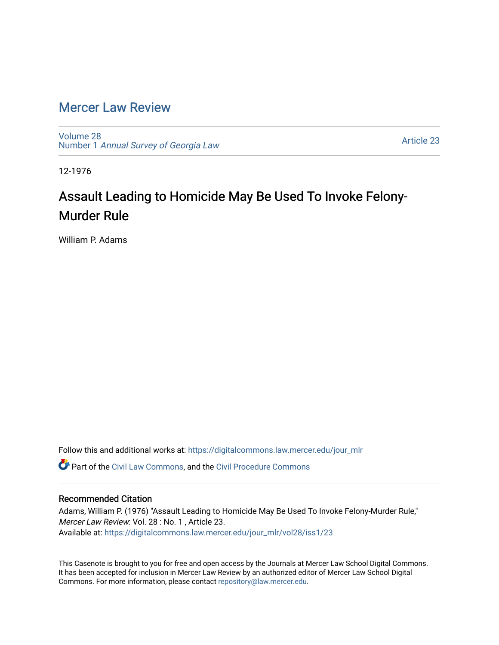## [Mercer Law Review](https://digitalcommons.law.mercer.edu/jour_mlr)

[Volume 28](https://digitalcommons.law.mercer.edu/jour_mlr/vol28) Number 1 [Annual Survey of Georgia Law](https://digitalcommons.law.mercer.edu/jour_mlr/vol28/iss1) 

[Article 23](https://digitalcommons.law.mercer.edu/jour_mlr/vol28/iss1/23) 

12-1976

# Assault Leading to Homicide May Be Used To Invoke Felony-Murder Rule

William P. Adams

Follow this and additional works at: [https://digitalcommons.law.mercer.edu/jour\\_mlr](https://digitalcommons.law.mercer.edu/jour_mlr?utm_source=digitalcommons.law.mercer.edu%2Fjour_mlr%2Fvol28%2Fiss1%2F23&utm_medium=PDF&utm_campaign=PDFCoverPages)

Part of the [Civil Law Commons](http://network.bepress.com/hgg/discipline/835?utm_source=digitalcommons.law.mercer.edu%2Fjour_mlr%2Fvol28%2Fiss1%2F23&utm_medium=PDF&utm_campaign=PDFCoverPages), and the [Civil Procedure Commons](http://network.bepress.com/hgg/discipline/584?utm_source=digitalcommons.law.mercer.edu%2Fjour_mlr%2Fvol28%2Fiss1%2F23&utm_medium=PDF&utm_campaign=PDFCoverPages) 

#### Recommended Citation

Adams, William P. (1976) "Assault Leading to Homicide May Be Used To Invoke Felony-Murder Rule," Mercer Law Review: Vol. 28 : No. 1 , Article 23. Available at: [https://digitalcommons.law.mercer.edu/jour\\_mlr/vol28/iss1/23](https://digitalcommons.law.mercer.edu/jour_mlr/vol28/iss1/23?utm_source=digitalcommons.law.mercer.edu%2Fjour_mlr%2Fvol28%2Fiss1%2F23&utm_medium=PDF&utm_campaign=PDFCoverPages) 

This Casenote is brought to you for free and open access by the Journals at Mercer Law School Digital Commons. It has been accepted for inclusion in Mercer Law Review by an authorized editor of Mercer Law School Digital Commons. For more information, please contact [repository@law.mercer.edu.](mailto:repository@law.mercer.edu)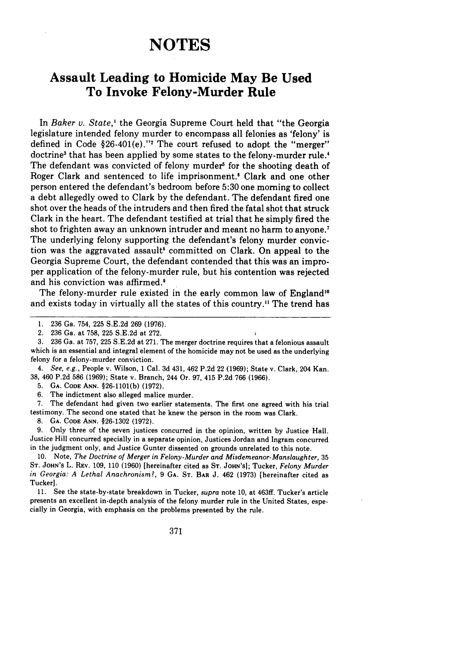## **NOTES**

### **Assault Leading to Homicide May Be Used To Invoke Felony-Murder Rule**

In Baker v. State,' the Georgia Supreme Court held that "the Georgia legislature intended felony murder to encompass all felonies as 'felony' is defined in Code  $$26-401(e)."$  The court refused to adopt the "merger" doctrine<sup>3</sup> that has been applied by some states to the felony-murder rule.<sup>4</sup> The defendant was convicted of felony murder' for the shooting death of Roger Clark and sentenced to life imprisonment.' Clark and one other person entered the defendant's bedroom before **5:30** one morning to collect a debt allegedly owed to Clark **by** the defendant. The defendant fired one shot over the heads of the intruders and then fired the fatal shot that struck Clark in the heart. The defendant testified at trial that he simply fired the shot to frighten away an unknown intruder and meant no harm to anyone.<sup>7</sup> The underlying felony supporting the defendant's felony murder conviction was the aggravated assault' committed on Clark. On appeal to the Georgia Supreme Court, the defendant contended that this was an improper application of the felony-murder rule, but his contention was rejected and his conviction was affirmed.'

The felony-murder rule existed in the early common law of England<sup>10</sup> and exists today in virtually all the states of this country." The trend has

3. 236 Ga. at 757, 225 S.E.2d at 271. The merger doctrine requires that a felonious assault which is an essential and integral element of the homicide may not be used as the underlying felony for a felony-murder conviction.

4. *See, e.g.,* People v. Wilson, 1 Cal. 3d 431, 462 P.2d 22 (1969); State v. Clark, 204 Kan. 38, 460 P.2d 586 (1969); State v. Branch, 244 Or. 97, 415 P.2d 766 (1966).

5. **GA.** CODE ANN. §26-1101(b) (1972).

6. The indictment also alleged malice murder.

7. The defendant had given two earlier statements. The first one agreed with his trial testimony. The second one stated that he knew the person in the room was Clark.

**8. GA. CODE ANN.** §26-1302 (1972).

**9.** Only three of the seven justices concurred in the opinion, written by Justice Hall. Justice Hill concurred specially in a separate opinion, Justices Jordan and Ingram concurred in the judgment only, and Justice Gunter dissented on grounds unrelated to this note.

10. Note, *The Doctrine of Merger in Felony-Murder and Misdemeanor-Manslaughter,* <sup>35</sup> **ST. JOHN's** L. REV. **109,** 110 (1960) [hereinafter cited as ST. **JOHN'S];** Tucker, *Felony Murder in Georgia: A Lethal Anachronism?,* **9 GA. ST.** BAR **J.** 462 **(1973)** [hereinafter cited as Tucker].

**11.** See the state-by-state breakdown in Tucker, *supra* note **10,** at 463ff. Tucker's article presents an excellent in-depth analysis of the felony murder rule in the United States, especially in Georgia, with emphasis on the problems presented **by** the rule.

**<sup>1. 236</sup>** Ga. 754, **225 S.E.2d 269 (1976).**

<sup>2.</sup> **236** Ga. at **758,** 225 S.E.2d at 272.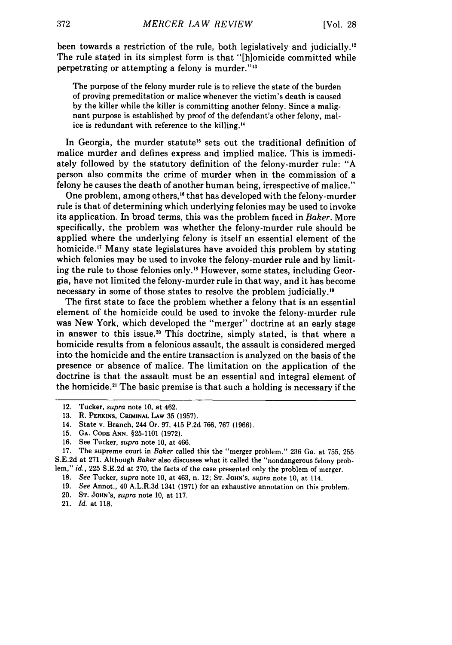been towards a restriction of the rule, both legislatively and judicially." The rule stated in its simplest form is that "[h]omicide committed while perpetrating or attempting a felony is murder."<sup>13</sup>

The purpose of the felony murder rule is to relieve the state of the burden of proving premeditation or malice whenever the victim's death is caused by the killer while the killer is committing another felony. Since a malignant purpose is established by proof of the defendant's other felony, malice is redundant with reference to the killing."

In Georgia, the murder statute<sup>15</sup> sets out the traditional definition of malice murder and defines express and implied malice. This is immediately followed by the statutory definition of the felony-murder rule: "A person also commits the crime of murder when in the commission of a felony he causes the death of another human being, irrespective of malice."

One problem, among others,<sup>16</sup> that has developed with the felony-murder rule is that of determining which underlying felonies may be used to invoke its application. In broad terms, this was the problem faced in *Baker.* More specifically, the problem was whether the felony-murder rule should be applied where the underlying felony is itself an essential element of the homicide.'" Many state legislatures have avoided this problem by stating which felonies may be used to invoke the felony-murder rule and by limiting the rule to those felonies only.<sup>18</sup> However, some states, including Georgia, have not limited the felony-murder rule in that way, and it has become necessary in some of those states to resolve the problem judicially.<sup>19</sup>

The first state to face the problem whether a felony that is an essential element of the homicide could be used to invoke the felony-murder rule was New York, which developed the "merger" doctrine at an early stage in answer to this issue.<sup>20</sup> This doctrine, simply stated, is that where a homicide results from a felonious assault, the assault is considered merged into the homicide and the entire transaction is analyzed on the basis of the presence or absence of malice. The limitation on the application of the doctrine is that the assault must be an essential and integral element of the homicide.<sup>21</sup> The basic premise is that such a holding is necessary if the

20. **ST. JOHN'S,** *supra* note **10,** at **117.**

<sup>12.</sup> Tucker, supra note 10, at 462.

**<sup>13.</sup>** R. **PERKINS, CRIMINAL LAw 35 (1957).**

<sup>14.</sup> State v. Branch, 244 Or. **97,** 415 **P.2d** 766, **767 (1966).**

**<sup>15.</sup> GA. CODE ANN. §25-1101 (1972).**

**<sup>16.</sup>** See Tucker, supra note **10,** at 466.

**<sup>17.</sup>** The supreme court in Baker called this the "merger problem." **236** Ga. at **755, 255 S.E.2d** at **271.** Although Baker also discusses what it called the "nondangerous felony problem," *id.,* **225 S.E.2d** at **270,** the facts of the case presented only the problem of merger.

**<sup>18.</sup>** *See* Tucker, *supra* note **10,** at 463, n. 12; **ST. JOHN'S,** *supra* note **10,** at 114.

**<sup>19.</sup>** *See* Annot., 40 A.L.R.3d 1341 **(1971)** for an exhaustive annotation on this problem.

<sup>21.</sup> *Id.* at **118.**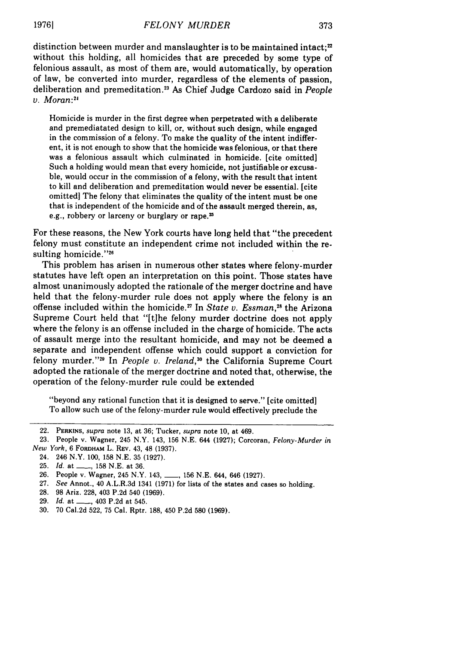distinction between murder and manslaughter is to be maintained intact; $x$ without this holding, all homicides that are preceded by some type of felonious assault, as most of them are, would automatically, by operation of law, be converted into murder, regardless of the elements of passion, deliberation and premeditation.<sup>23</sup> As Chief Judge Cardozo said in *People v. Moran:2*

Homicide is murder in the first degree when perpetrated with a deliberate and premediatated design to kill, or, without such design, while engaged in the commission of a felony. To make the quality of the intent indifferent, it is not enough to show that the homicide was felonious, or that there was a felonious assault which culminated in homicide. [cite omitted] Such a holding would mean that every homicide, not justifiable or excusable, would occur in the commission of a felony, with the result that intent to kill and deliberation and premeditation would never be essential. [cite omitted] The felony that eliminates the quality of the intent must be one that is independent of the homicide and of the assault merged therein, as, e.g., robbery or larceny or burglary or rape.<sup>25</sup>

For these reasons, the New York courts have long held that "the precedent felony must constitute an independent crime not included within the resulting homicide."26

This problem has arisen in numerous other states where felony-murder statutes have left open an interpretation on this point. Those states have almost unanimously adopted the rationale of the merger doctrine and have held that the felony-murder rule does not apply where the felony is an offense included within the homicide.<sup>27</sup> In *State v. Essman*,<sup>28</sup> the Arizona Supreme Court held that "[tihe felony murder doctrine does not apply where the felony is an offense included in the charge of homicide. The acts of assault merge into the resultant homicide, and may not be deemed a separate and independent offense which could support a conviction for felony murder."<sup>29</sup> In *People v. Ireland*,<sup>30</sup> the California Supreme Court adopted the rationale of the merger doctrine and noted that, otherwise, the operation of the felony-murder rule could be extended

"beyond any rational function that it is designed to serve." [cite omitted] To allow such use of the felony-murder rule would effectively preclude the

- 28. 98 Ariz. 228, 403 P.2d 540 (1969).
- 29. *Id.* at \_\_\_\_, 403 P.2d at 545.
- 30. 70 Cal.2d 522, 75 Cal. Rptr. 188, 450 P.2d 580 (1969).

<sup>22.</sup> PERKINS, *supra* note 13, at 36; Tucker, *supra* note 10, at 469.

<sup>23.</sup> People v. Wagner, 245 N.Y. 143, 156 N.E. 644 (1927); Corcoran, *Felony-Murder in New York,* 6 **FORDHAM** L. REV. 43, 48 (1937).

<sup>24. 246</sup> N.Y. 100, 158 N.E. 35 (1927).

<sup>25.</sup> *Id.* at \_\_\_\_, 158 N.E. at 36.

<sup>26.</sup> People v. Wagner, 245 N.Y. 143, ..., 156 N.E. 644, 646 (1927).

<sup>27.</sup> *See* Annot., 40 A.L.R.3d 1341 (1971) for lists of the states and cases so holding.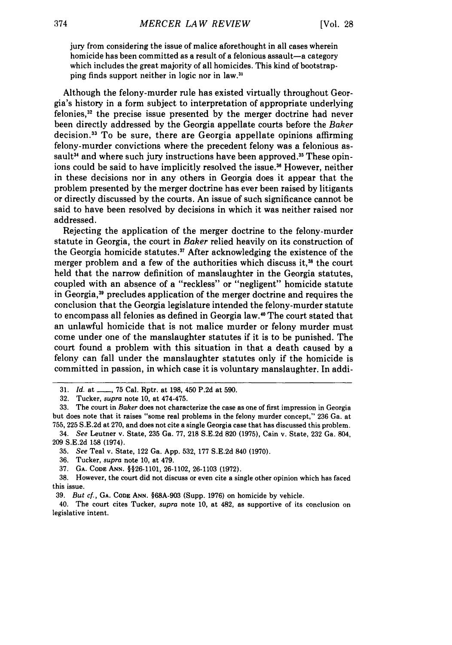jury from considering the issue of malice aforethought in all cases wherein homicide has been committed as a result of a felonious assault-a category which includes the great majority of all homicides. This kind of bootstrapping finds support neither in logic nor in law."

Although the felony-murder rule has existed virtually throughout Geor**gia's** history in a form subject to interpretation of appropriate underlying felonies,3 2 the precise issue presented **by** the merger doctrine had never been directly addressed **by** the Georgia appellate courts before the *Baker* decision.13 To be sure, there are Georgia appellate opinions affirming felony-murder convictions where the precedent felony was a felonious assault<sup>34</sup> and where such jury instructions have been approved.<sup>35</sup> These opinions could be said to have implicitly resolved the issue.<sup>36</sup> However, neither in these decisions nor in any others in Georgia does it appear that the problem presented **by** the merger doctrine has ever been raised **by** litigants or directly discussed **by** the courts. An issue of such significance cannot be said to have been resolved **by** decisions in which it was neither raised nor addressed.

Rejecting the application of the merger doctrine to the felony-murder statute in Georgia, the court in *Baker* relied heavily on its construction of the Georgia homicide statutes.<sup>37</sup> After acknowledging the existence of the merger problem and a few of the authorities which discuss it,<sup>38</sup> the court held that the narrow definition of manslaughter in the Georgia statutes, coupled with an absence of a "reckless" or "negligent" homicide statute in Georgia,39 precludes application of the merger doctrine and requires the conclusion that the Georgia legislature intended the felony-murder statute to encompass all felonies as defined in Georgia law.<sup>40</sup> The court stated that an unlawful homicide that is not malice murder or felony murder must come under one of the manslaughter statutes if it is to be punished. The court found a problem with this situation in that a death caused **by** a felony can fall under the manslaughter statutes only if the homicide is committed in passion, in which case it is voluntary manslaughter. In addi-

**<sup>31.</sup>** *Id.* at **- , 75** Cal. Rptr. at **198,** 450 **P.2d** at **590.**

**<sup>32.</sup>** Tucker, *supra* note **10,** at 474-475.

**<sup>33.</sup>** The court in Baker does not characterize the case as one of first impression in Georgia but does note that it raises "some real problems in the felony murder concept," **236** Ga. at **755, 225 S.E.2d** at **270,** and does not cite a single Georgia case that has discussed this problem.

<sup>34.</sup> *See* Leutner v. State, **235** Ga. **77, 218 S.E.2d 820 (1975),** Cain v. State, **232** Ga. 804, **209 S.E.2d 158** (1974).

**<sup>35.</sup>** *See* Teal v. State, 122 Ga. **App. 532, 177 S.E.2d** 840 **(1970).**

**<sup>36.</sup>** Tucker, *supra* note **10,** at **479.**

**<sup>37.</sup> GA. CODE ANN. §§26-1101, 26-1102, 26-1103 (1972).**

**<sup>38.</sup>** However, the court did not discuss or even cite a single other opinion which has faced this issue.

**<sup>39.</sup>** *But cf.,* **GA. CODE ANN. §68A-903** (Supp. **1976)** on homicide **by** vehicle.

<sup>40.</sup> The court cites Tucker, *supra* note **10,** at 482, as supportive of its conclusion on legislative intent.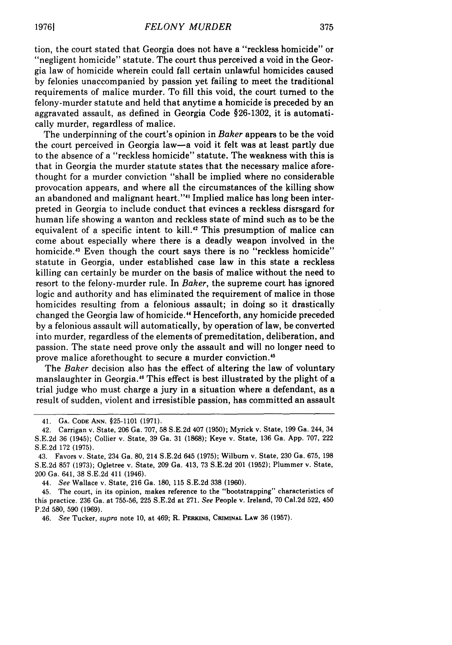tion, the court stated that Georgia does not have a "reckless homicide" or "negligent homicide" statute. The court thus perceived a void in the Georgia law of homicide wherein could fall certain unlawful homicides caused by felonies unaccompanied by passion yet failing to meet the traditional requirements of malice murder. To fill this void, the court turned to the felony-murder statute and held that anytime a homicide is preceded by an aggravated assault, as defined in Georgia Code §26-1302, it is automatically murder, regardless of malice.

The underpinning of the court's opinion in *Baker* appears to be the void the court perceived in Georgia law-a void it felt was at least partly due to the absence of a "reckless homicide" statute. The weakness with this is that in Georgia the murder statute states that the necessary malice aforethought for a murder conviction "shall be implied where no considerable provocation appears, and where all the circumstances of the killing show an abandoned and malignant heart."'" Implied malice has long been interpreted in Georgia to include conduct that evinces a reckless disrsgard for human life showing a wanton and reckless state of mind such as to be the equivalent of a specific intent to kill.<sup>42</sup> This presumption of malice can come about especially where there is a deadly weapon involved in the homicide.<sup>43</sup> Even though the court says there is no "reckless homicide" statute in Georgia, under established case law in this state a reckless killing can certainly be murder on the basis of malice without the need to resort to the felony-murder rule. In *Baker,* the supreme court has ignored logic and authority and has eliminated the requirement of malice in those homicides resulting from a felonious assault; in doing so it drastically changed the Georgia law of homicide." Henceforth, any homicide preceded by a felonious assault will automatically, by operation of law, be converted into murder, regardless of the elements of premeditation, deliberation, and passion. The state need prove only the assault and will no longer need to prove malice aforethought to secure a murder conviction.<sup>45</sup>

The *Baker* decision also has the effect of altering the law of voluntary manslaughter in Georgia.<sup>46</sup> This effect is best illustrated by the plight of a trial judge who must charge a jury in a situation where a defendant, as a result of sudden, violent and irresistible passion, has committed an assault

44. *See* Wallace v. State, 216 Ga. 180, 115 S.E.2d 338 (1960).

<sup>41.</sup> **GA. CODE ANN. §25-1101 (1971).**

<sup>42.</sup> Carrigan v. State, 206 Ga. 707, 58 S.E.2d 407 (1950); Myrick v. State, 199 Ga. 244, 34 **S.E.2d** 36 (1945); Collier v. State, 39 Ga. 31 (1868); Keye v. State, 136 Ga. App. 707, 222 S.E.2d 172 (1975).

<sup>43.</sup> Favors v. State, 234 Ga. 80, 214 S.E.2d 645 (1975); Wilburn v. State, 230 Ga. 675, 198 S.E.2d 857 (1973); Ogletree v. State, 209 Ga. 413, 73 S.E.2d 201 (1952); Plummer v. State, 200 Ga. 641, 38 S.E.2d 411 (1946).

<sup>45.</sup> The court, in its opinion, makes reference to the "bootstrapping" characteristics of this practice. 236 Ga. at 755-56, 225 S.E.2d at 271. *See* People v. Ireland, 70 Cal.2d 522, 450 P.2d 580, 590 (1969).

<sup>46.</sup> *See* Tucker, *supra* note 10, at 469; R. **PERIUNS,** CRIMINAL **LAW** 36 (1957).